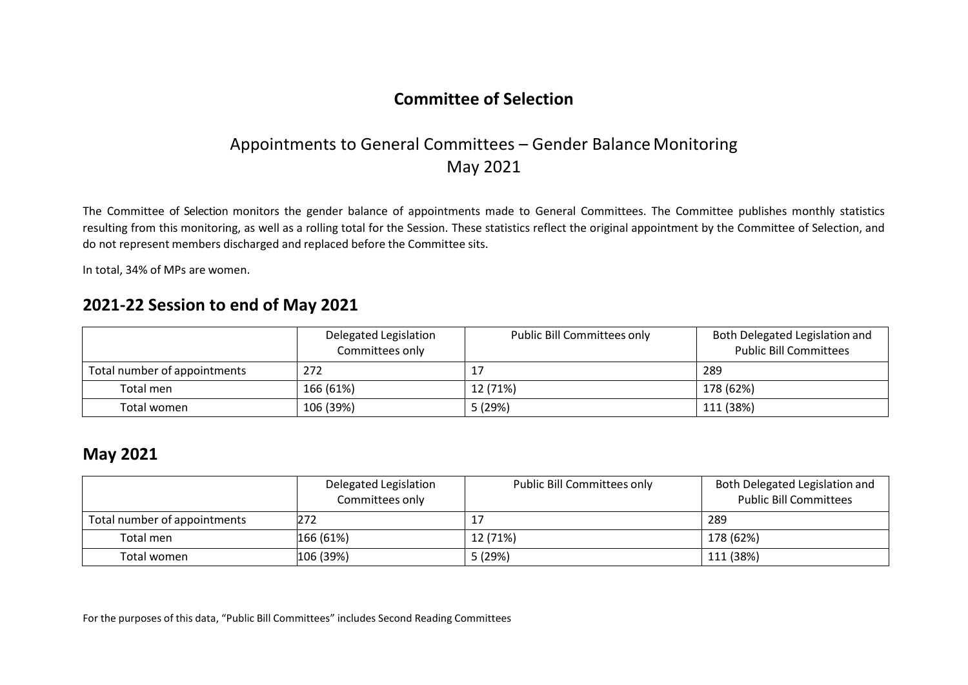# Appointments to General Committees – Gender Balance Monitoring May 2021

The Committee of Selection monitors the gender balance of appointments made to General Committees. The Committee publishes monthly statistics resulting from this monitoring, as well as a rolling total for the Session. These statistics reflect the original appointment by the Committee of Selection, and do not represent members discharged and replaced before the Committee sits.

In total, 34% of MPs are women.

#### **2021-22 Session to end of May 2021**

|                              | Delegated Legislation<br>Committees only | <b>Public Bill Committees only</b> | Both Delegated Legislation and<br><b>Public Bill Committees</b> |
|------------------------------|------------------------------------------|------------------------------------|-----------------------------------------------------------------|
| Total number of appointments | 272                                      | 17                                 | 289                                                             |
| Total men                    | 166 (61%)                                | 12 (71%)                           | 178 (62%)                                                       |
| Total women                  | 106 (39%)                                | 5 (29%)                            | 111 (38%)                                                       |

#### **May 2021**

|                              | Delegated Legislation<br>Committees only | Public Bill Committees only | Both Delegated Legislation and<br><b>Public Bill Committees</b> |
|------------------------------|------------------------------------------|-----------------------------|-----------------------------------------------------------------|
| Total number of appointments | 272                                      | 17                          | 289                                                             |
| Total men                    | 166 (61%)                                | 12 (71%)                    | 178 (62%)                                                       |
| Total women                  | 106 (39%)                                | 5 (29%)                     | 111 (38%)                                                       |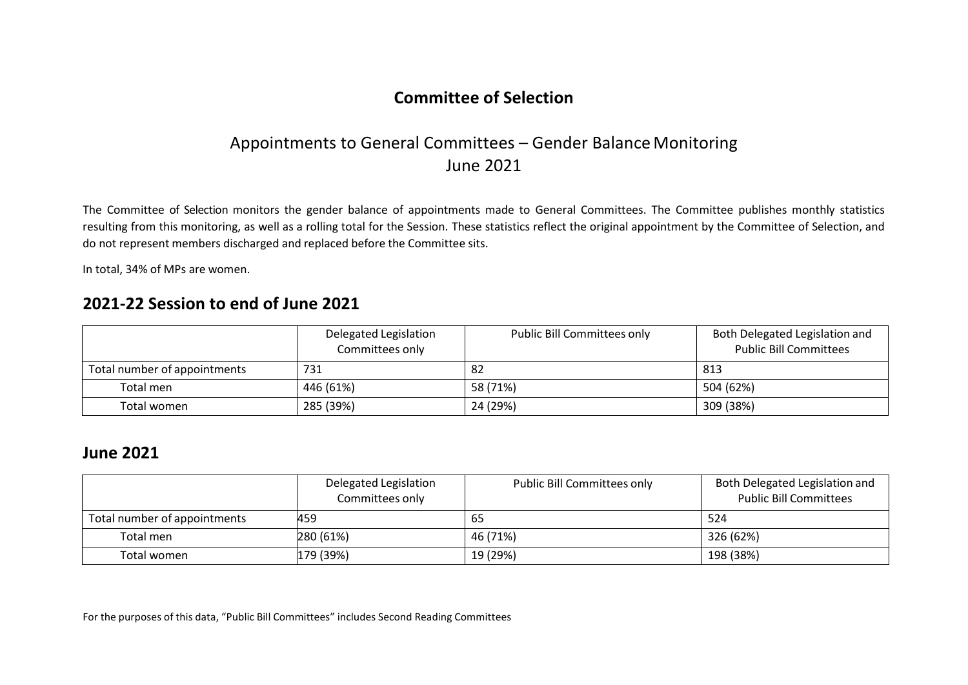## Appointments to General Committees – Gender Balance Monitoring June 2021

The Committee of Selection monitors the gender balance of appointments made to General Committees. The Committee publishes monthly statistics resulting from this monitoring, as well as a rolling total for the Session. These statistics reflect the original appointment by the Committee of Selection, and do not represent members discharged and replaced before the Committee sits.

In total, 34% of MPs are women.

## **2021-22 Session to end of June 2021**

|                              | Delegated Legislation<br>Committees only | Public Bill Committees only | Both Delegated Legislation and<br><b>Public Bill Committees</b> |
|------------------------------|------------------------------------------|-----------------------------|-----------------------------------------------------------------|
| Total number of appointments | 731                                      | 82                          | 813                                                             |
| Total men                    | 446 (61%)                                | 58 (71%)                    | 504 (62%)                                                       |
| Total women                  | 285 (39%)                                | 24 (29%)                    | 309 (38%)                                                       |

#### **June 2021**

|                              | Delegated Legislation<br>Committees only | <b>Public Bill Committees only</b> | Both Delegated Legislation and<br><b>Public Bill Committees</b> |
|------------------------------|------------------------------------------|------------------------------------|-----------------------------------------------------------------|
| Total number of appointments | 459                                      | 65                                 | 524                                                             |
| Total men                    | $ 280(61\%)$                             | 46 (71%)                           | 326 (62%)                                                       |
| Total women                  | 179 (39%)                                | 19 (29%)                           | 198 (38%)                                                       |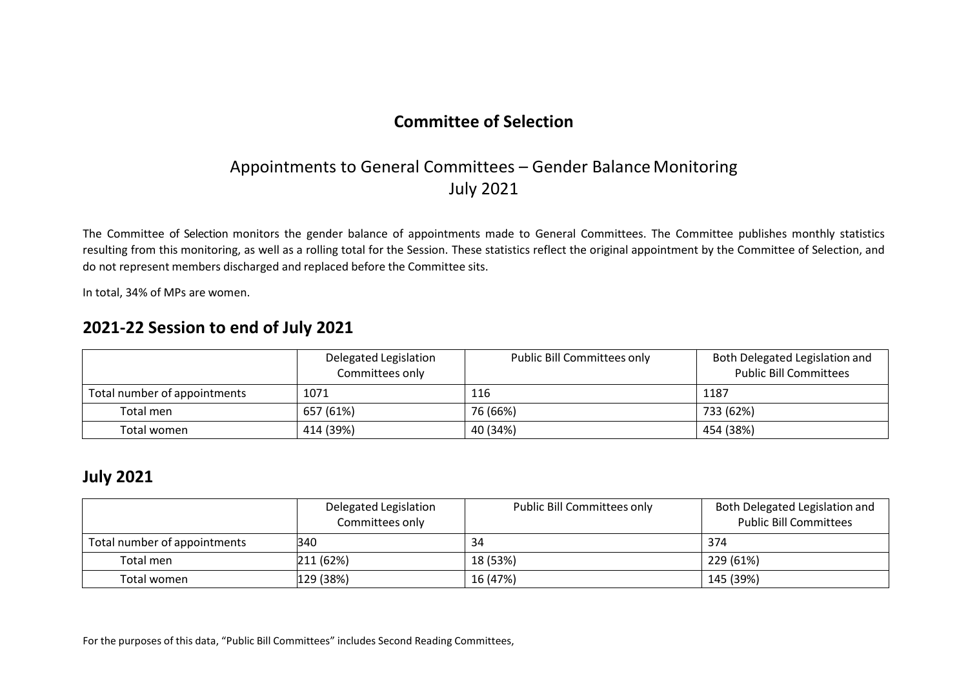# Appointments to General Committees – Gender Balance Monitoring July 2021

The Committee of Selection monitors the gender balance of appointments made to General Committees. The Committee publishes monthly statistics resulting from this monitoring, as well as a rolling total for the Session. These statistics reflect the original appointment by the Committee of Selection, and do not represent members discharged and replaced before the Committee sits.

In total, 34% of MPs are women.

### **2021-22 Session to end of July 2021**

|                              | Delegated Legislation<br>Committees only | <b>Public Bill Committees only</b> | Both Delegated Legislation and<br><b>Public Bill Committees</b> |
|------------------------------|------------------------------------------|------------------------------------|-----------------------------------------------------------------|
| Total number of appointments | 1071                                     | 116                                | 1187                                                            |
| Total men                    | 657 (61%)                                | 76 (66%)                           | 733 (62%)                                                       |
| Total women                  | 414 (39%)                                | 40 (34%)                           | 454 (38%)                                                       |

#### **July 2021**

|                              | Delegated Legislation<br>Committees only | <b>Public Bill Committees only</b> | Both Delegated Legislation and<br><b>Public Bill Committees</b> |
|------------------------------|------------------------------------------|------------------------------------|-----------------------------------------------------------------|
| Total number of appointments | 340                                      | 34                                 | 374                                                             |
| Total men                    | 211 (62%)                                | 18 (53%)                           | 229 (61%)                                                       |
| Total women                  | 129 (38%)                                | 16 (47%)                           | 145 (39%)                                                       |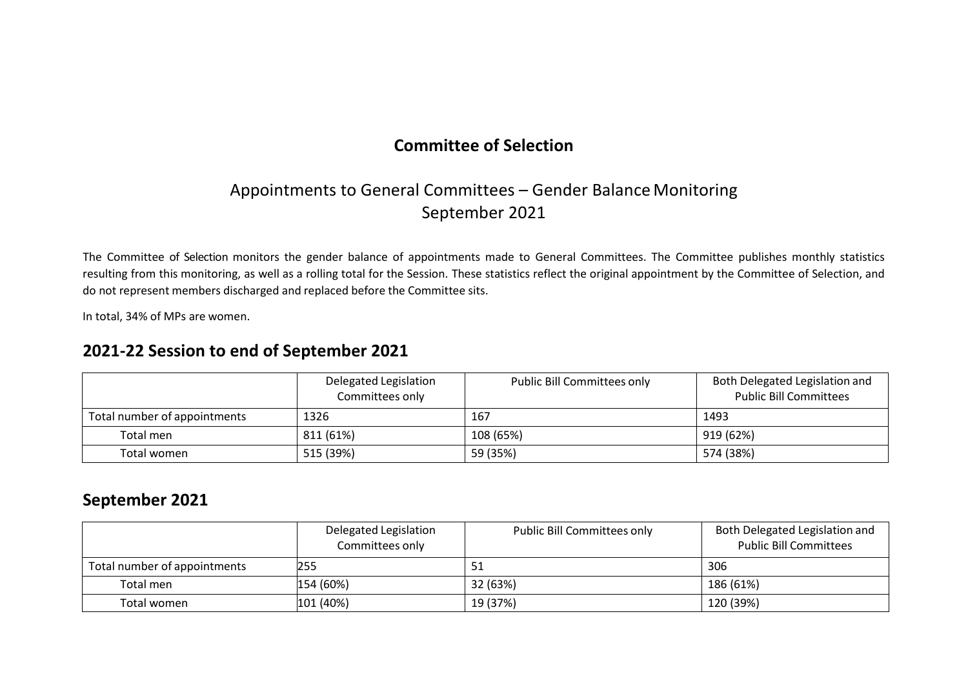# Appointments to General Committees – Gender Balance Monitoring September 2021

The Committee of Selection monitors the gender balance of appointments made to General Committees. The Committee publishes monthly statistics resulting from this monitoring, as well as a rolling total for the Session. These statistics reflect the original appointment by the Committee of Selection, and do not represent members discharged and replaced before the Committee sits.

In total, 34% of MPs are women.

## **2021-22 Session to end of September 2021**

|                              | Delegated Legislation<br>Committees only | <b>Public Bill Committees only</b> | Both Delegated Legislation and<br><b>Public Bill Committees</b> |
|------------------------------|------------------------------------------|------------------------------------|-----------------------------------------------------------------|
| Total number of appointments | 1326                                     | 167                                | 1493                                                            |
| Total men                    | 811 (61%)                                | 108 (65%)                          | 919 (62%)                                                       |
| Total women                  | 515 (39%)                                | 59 (35%)                           | 574 (38%)                                                       |

### **September 2021**

|                              | Delegated Legislation<br>Committees only | Public Bill Committees only | Both Delegated Legislation and<br><b>Public Bill Committees</b> |
|------------------------------|------------------------------------------|-----------------------------|-----------------------------------------------------------------|
| Total number of appointments | 255                                      | -51                         | 306                                                             |
| Total men                    | 154 (60%)                                | 32 (63%)                    | 186 (61%)                                                       |
| Total women                  | 101 (40%)                                | 19 (37%)                    | 120 (39%)                                                       |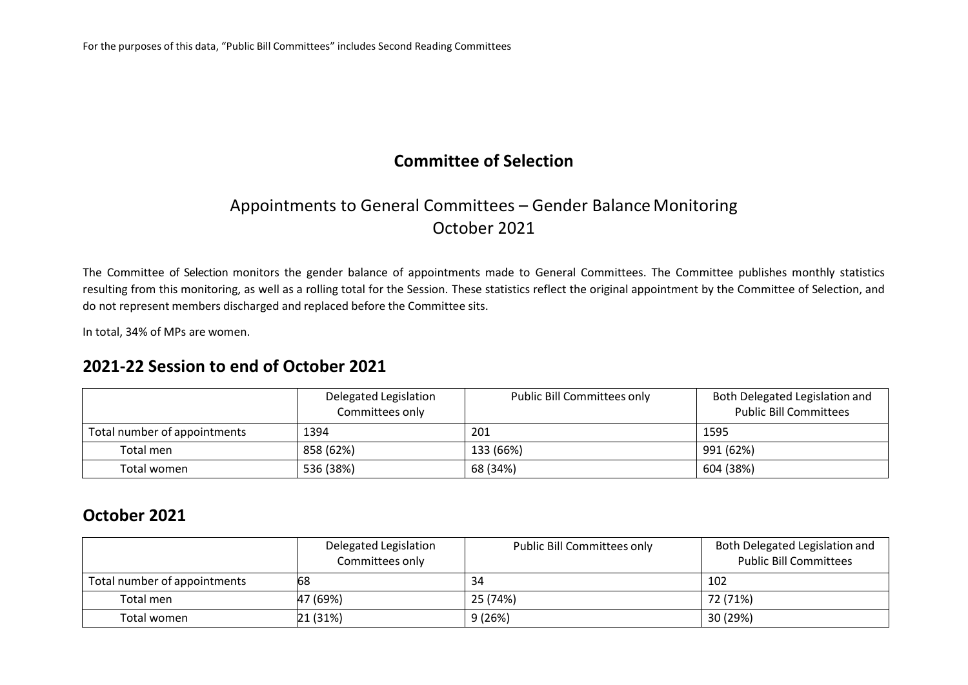# Appointments to General Committees – Gender Balance Monitoring October 2021

The Committee of Selection monitors the gender balance of appointments made to General Committees. The Committee publishes monthly statistics resulting from this monitoring, as well as a rolling total for the Session. These statistics reflect the original appointment by the Committee of Selection, and do not represent members discharged and replaced before the Committee sits.

In total, 34% of MPs are women.

### **2021-22 Session to end of October 2021**

|                              | Delegated Legislation<br>Committees only | <b>Public Bill Committees only</b> | Both Delegated Legislation and<br><b>Public Bill Committees</b> |
|------------------------------|------------------------------------------|------------------------------------|-----------------------------------------------------------------|
| Total number of appointments | 1394                                     | 201                                | 1595                                                            |
| Total men                    | 858 (62%)                                | 133 (66%)                          | 991 (62%)                                                       |
| Total women                  | 536 (38%)                                | 68 (34%)                           | 604 (38%)                                                       |

## **October 2021**

|                              | Delegated Legislation<br>Committees only | <b>Public Bill Committees only</b> | Both Delegated Legislation and<br><b>Public Bill Committees</b> |
|------------------------------|------------------------------------------|------------------------------------|-----------------------------------------------------------------|
| Total number of appointments | 168                                      | 34                                 | 102                                                             |
| Total men                    | 47 (69%)                                 | 25 (74%)                           | 72 (71%)                                                        |
| Total women                  | 21 (31%)                                 | 9(26%)                             | 30 (29%)                                                        |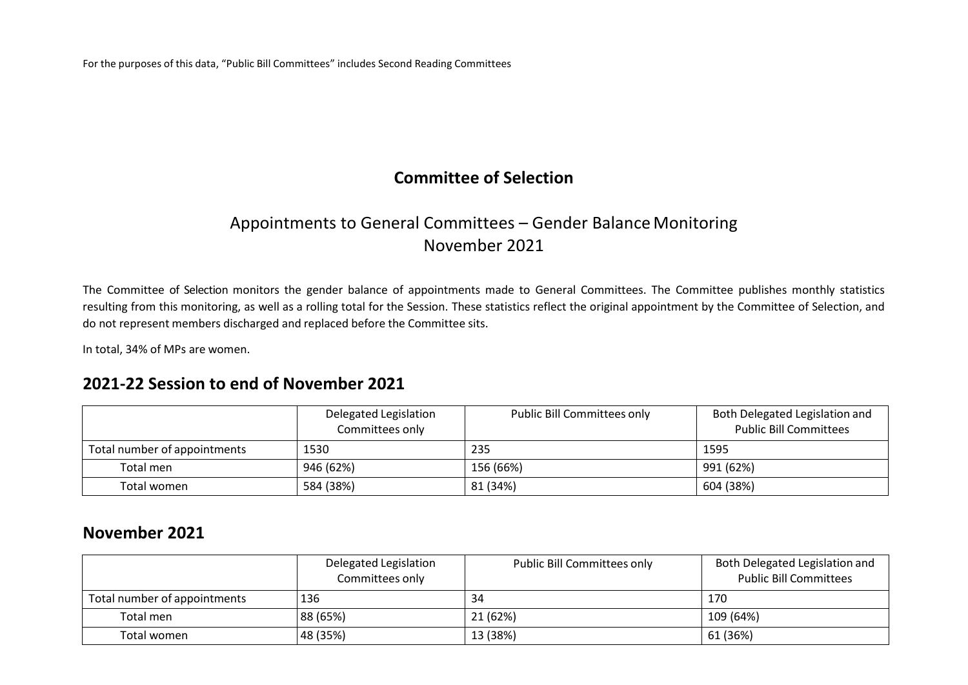## **Committee of Selection**

# Appointments to General Committees – Gender Balance Monitoring November 2021

The Committee of Selection monitors the gender balance of appointments made to General Committees. The Committee publishes monthly statistics resulting from this monitoring, as well as a rolling total for the Session. These statistics reflect the original appointment by the Committee of Selection, and do not represent members discharged and replaced before the Committee sits.

In total, 34% of MPs are women.

### **2021-22 Session to end of November 2021**

|                              | Delegated Legislation<br>Committees only | <b>Public Bill Committees only</b> | Both Delegated Legislation and<br><b>Public Bill Committees</b> |
|------------------------------|------------------------------------------|------------------------------------|-----------------------------------------------------------------|
| Total number of appointments | 1530                                     | 235                                | 1595                                                            |
| Total men                    | 946 (62%)                                | 156 (66%)                          | 991 (62%)                                                       |
| Total women                  | 584 (38%)                                | 81 (34%)                           | 604 (38%)                                                       |

#### **November 2021**

|                              | Delegated Legislation<br>Committees only | <b>Public Bill Committees only</b> | Both Delegated Legislation and<br><b>Public Bill Committees</b> |
|------------------------------|------------------------------------------|------------------------------------|-----------------------------------------------------------------|
| Total number of appointments | 136                                      | 34                                 | 170                                                             |
| Total men                    | 88 (65%)                                 | 21 (62%)                           | 109 (64%)                                                       |
| Total women                  | 48 (35%)                                 | 13 (38%)                           | 61 (36%)                                                        |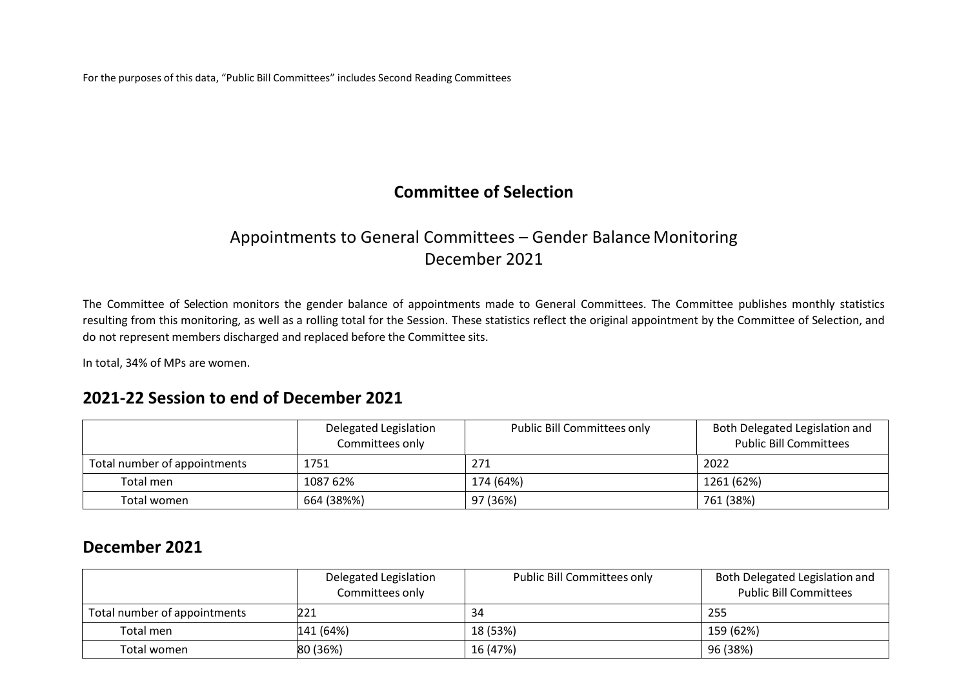## **Committee of Selection**

# Appointments to General Committees – Gender Balance Monitoring December 2021

The Committee of Selection monitors the gender balance of appointments made to General Committees. The Committee publishes monthly statistics resulting from this monitoring, as well as a rolling total for the Session. These statistics reflect the original appointment by the Committee of Selection, and do not represent members discharged and replaced before the Committee sits.

In total, 34% of MPs are women.

#### **2021-22 Session to end of December 2021**

|                              | Delegated Legislation<br>Committees only | Public Bill Committees only | Both Delegated Legislation and<br><b>Public Bill Committees</b> |
|------------------------------|------------------------------------------|-----------------------------|-----------------------------------------------------------------|
| Total number of appointments | 1751                                     | 271                         | 2022                                                            |
| Total men                    | 1087 62%                                 | 174 (64%)                   | 1261 (62%)                                                      |
| Total women                  | 664 (38%%)                               | 97 (36%)                    | 761 (38%)                                                       |

### **December 2021**

|                              | Delegated Legislation<br>Committees only | <b>Public Bill Committees only</b> | Both Delegated Legislation and<br><b>Public Bill Committees</b> |
|------------------------------|------------------------------------------|------------------------------------|-----------------------------------------------------------------|
| Total number of appointments | 221                                      | 34                                 | 255                                                             |
| Total men                    | 141 (64%)                                | 18 (53%)                           | 159 (62%)                                                       |
| Total women                  | 80 (36%)                                 | 16 (47%)                           | 96 (38%)                                                        |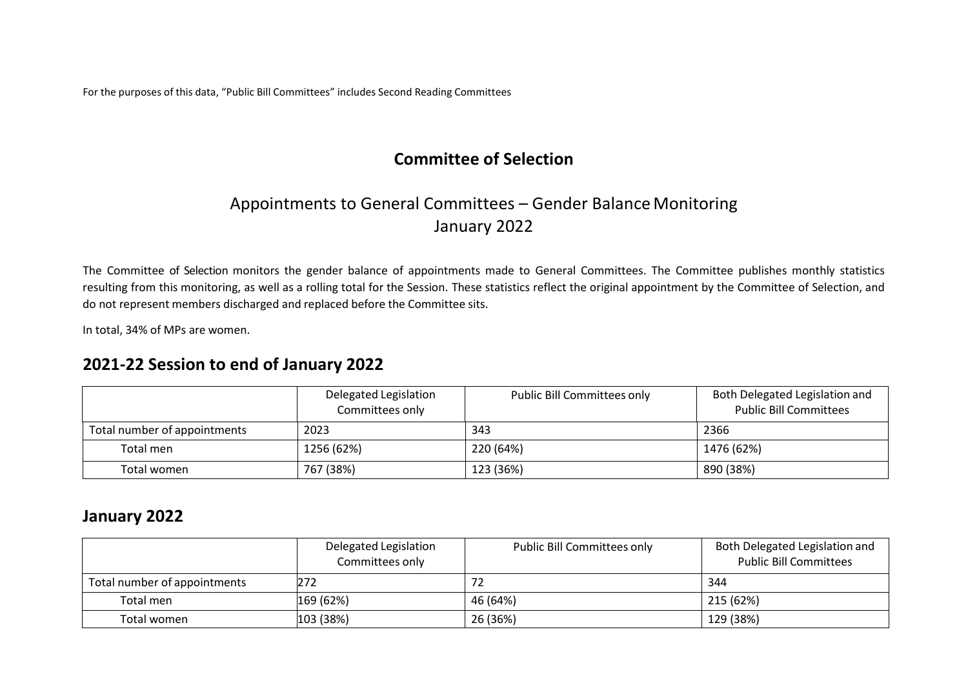## **Committee of Selection**

# Appointments to General Committees – Gender Balance Monitoring January 2022

The Committee of Selection monitors the gender balance of appointments made to General Committees. The Committee publishes monthly statistics resulting from this monitoring, as well as a rolling total for the Session. These statistics reflect the original appointment by the Committee of Selection, and do not represent members discharged and replaced before the Committee sits.

In total, 34% of MPs are women.

#### **2021-22 Session to end of January 2022**

|                              | Delegated Legislation<br>Committees only | <b>Public Bill Committees only</b> | Both Delegated Legislation and<br><b>Public Bill Committees</b> |
|------------------------------|------------------------------------------|------------------------------------|-----------------------------------------------------------------|
| Total number of appointments | 2023                                     | 343                                | 2366                                                            |
| Total men                    | 1256 (62%)                               | 220 (64%)                          | 1476 (62%)                                                      |
| Total women                  | 767 (38%)                                | 123 (36%)                          | 890 (38%)                                                       |

### **January 2022**

|                              | Delegated Legislation<br>Committees only | <b>Public Bill Committees only</b> | Both Delegated Legislation and<br><b>Public Bill Committees</b> |
|------------------------------|------------------------------------------|------------------------------------|-----------------------------------------------------------------|
| Total number of appointments | 272                                      |                                    | -344                                                            |
| Total men                    | 169(62%)                                 | 46 (64%)                           | 215(62%)                                                        |
| Total women                  | $ 103 \ (38\%)$                          | 26 (36%)                           | 129 (38%)                                                       |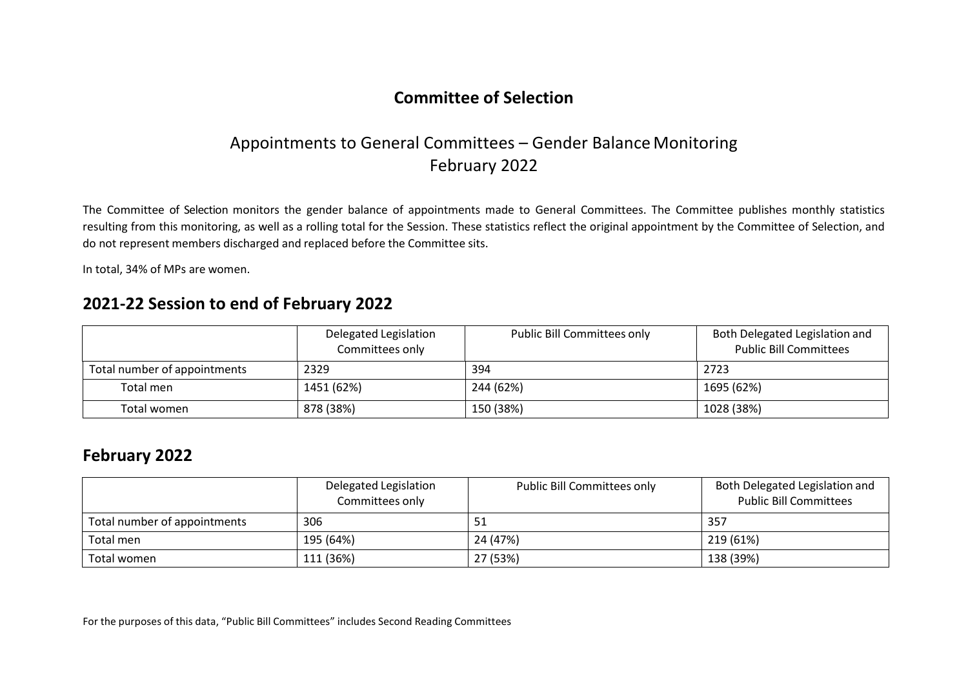# Appointments to General Committees – Gender Balance Monitoring February 2022

The Committee of Selection monitors the gender balance of appointments made to General Committees. The Committee publishes monthly statistics resulting from this monitoring, as well as a rolling total for the Session. These statistics reflect the original appointment by the Committee of Selection, and do not represent members discharged and replaced before the Committee sits.

In total, 34% of MPs are women.

### **2021-22 Session to end of February 2022**

|                              | Delegated Legislation<br>Committees only | <b>Public Bill Committees only</b> | Both Delegated Legislation and<br><b>Public Bill Committees</b> |
|------------------------------|------------------------------------------|------------------------------------|-----------------------------------------------------------------|
| Total number of appointments | 2329                                     | 394                                | 2723                                                            |
| Total men                    | 1451 (62%)                               | 244 (62%)                          | 1695 (62%)                                                      |
| Total women                  | 878 (38%)                                | 150 (38%)                          | 1028 (38%)                                                      |

#### **February 2022**

|                              | Delegated Legislation<br>Committees only | <b>Public Bill Committees only</b> | Both Delegated Legislation and<br><b>Public Bill Committees</b> |
|------------------------------|------------------------------------------|------------------------------------|-----------------------------------------------------------------|
| Total number of appointments | 306                                      |                                    | 357                                                             |
| Total men                    | 195 (64%)                                | 24 (47%)                           | 219 (61%)                                                       |
| Total women                  | 111 (36%)                                | 27 (53%)                           | 138 (39%)                                                       |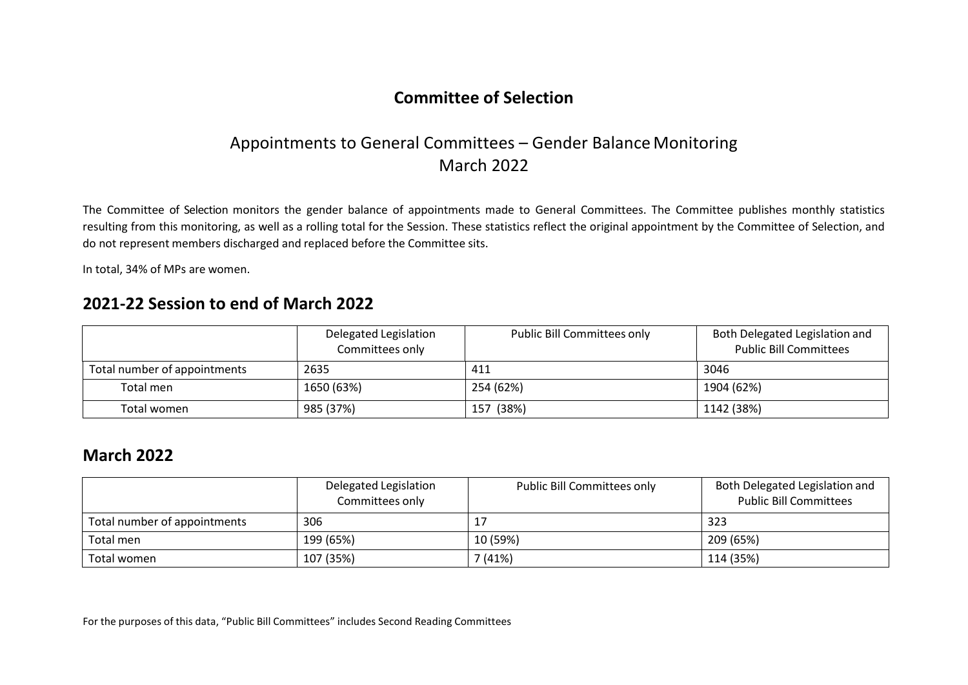## Appointments to General Committees – Gender Balance Monitoring March 2022

The Committee of Selection monitors the gender balance of appointments made to General Committees. The Committee publishes monthly statistics resulting from this monitoring, as well as a rolling total for the Session. These statistics reflect the original appointment by the Committee of Selection, and do not represent members discharged and replaced before the Committee sits.

In total, 34% of MPs are women.

## **2021-22 Session to end of March 2022**

|                              | Delegated Legislation<br>Committees only | Public Bill Committees only | Both Delegated Legislation and<br><b>Public Bill Committees</b> |
|------------------------------|------------------------------------------|-----------------------------|-----------------------------------------------------------------|
| Total number of appointments | 2635                                     | 411                         | 3046                                                            |
| Total men                    | 1650 (63%)                               | 254 (62%)                   | 1904 (62%)                                                      |
| Total women                  | 985 (37%)                                | 157 (38%)                   | 1142 (38%)                                                      |

#### **March 2022**

|                              | Delegated Legislation<br>Committees only | <b>Public Bill Committees only</b> | Both Delegated Legislation and<br><b>Public Bill Committees</b> |
|------------------------------|------------------------------------------|------------------------------------|-----------------------------------------------------------------|
| Total number of appointments | 306                                      |                                    | 323                                                             |
| Total men                    | 199 (65%)                                | 10 (59%)                           | 209 (65%)                                                       |
| Total women                  | 107 (35%)                                | (41%)                              | 114 (35%)                                                       |